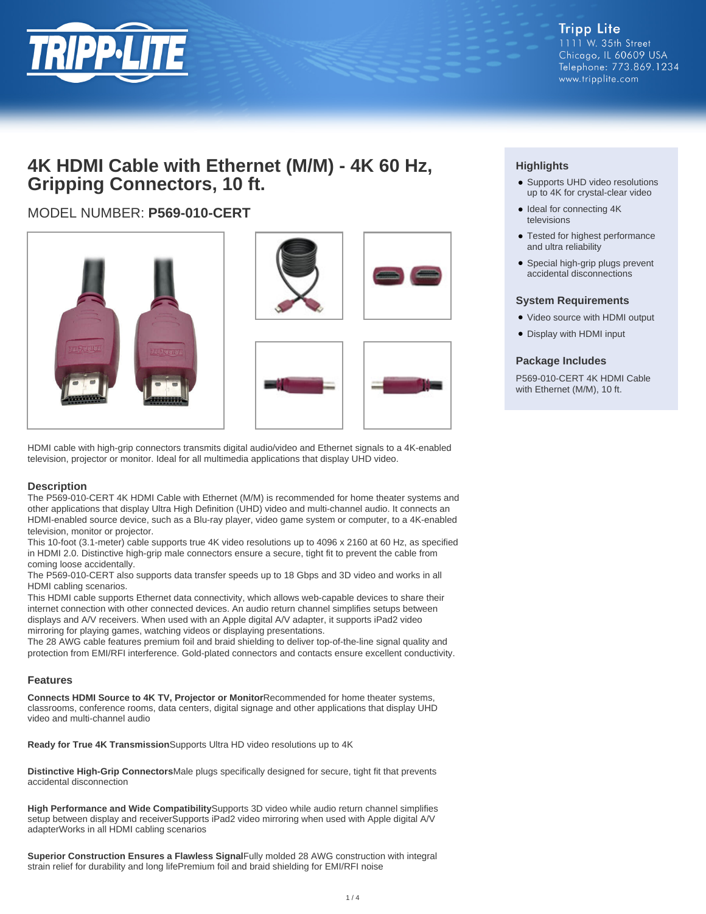

# **4K HDMI Cable with Ethernet (M/M) - 4K 60 Hz, Gripping Connectors, 10 ft.**

# MODEL NUMBER: **P569-010-CERT**





HDMI cable with high-grip connectors transmits digital audio/video and Ethernet signals to a 4K-enabled television, projector or monitor. Ideal for all multimedia applications that display UHD video.

## **Description**

The P569-010-CERT 4K HDMI Cable with Ethernet (M/M) is recommended for home theater systems and other applications that display Ultra High Definition (UHD) video and multi-channel audio. It connects an HDMI-enabled source device, such as a Blu-ray player, video game system or computer, to a 4K-enabled television, monitor or projector.

This 10-foot (3.1-meter) cable supports true 4K video resolutions up to 4096 x 2160 at 60 Hz, as specified in HDMI 2.0. Distinctive high-grip male connectors ensure a secure, tight fit to prevent the cable from coming loose accidentally.

The P569-010-CERT also supports data transfer speeds up to 18 Gbps and 3D video and works in all HDMI cabling scenarios.

This HDMI cable supports Ethernet data connectivity, which allows web-capable devices to share their internet connection with other connected devices. An audio return channel simplifies setups between displays and A/V receivers. When used with an Apple digital A/V adapter, it supports iPad2 video mirroring for playing games, watching videos or displaying presentations.

The 28 AWG cable features premium foil and braid shielding to deliver top-of-the-line signal quality and protection from EMI/RFI interference. Gold-plated connectors and contacts ensure excellent conductivity.

#### **Features**

**Connects HDMI Source to 4K TV, Projector or Monitor**Recommended for home theater systems, classrooms, conference rooms, data centers, digital signage and other applications that display UHD video and multi-channel audio

**Ready for True 4K Transmission**Supports Ultra HD video resolutions up to 4K

**Distinctive High-Grip Connectors**Male plugs specifically designed for secure, tight fit that prevents accidental disconnection

**High Performance and Wide Compatibility**Supports 3D video while audio return channel simplifies setup between display and receiverSupports iPad2 video mirroring when used with Apple digital A/V adapterWorks in all HDMI cabling scenarios

**Superior Construction Ensures a Flawless Signal**Fully molded 28 AWG construction with integral strain relief for durability and long lifePremium foil and braid shielding for EMI/RFI noise

# **Highlights**

- Supports UHD video resolutions up to 4K for crystal-clear video
- Ideal for connecting 4K televisions
- Tested for highest performance and ultra reliability
- Special high-grip plugs prevent accidental disconnections

#### **System Requirements**

- Video source with HDMI output
- Display with HDMI input

### **Package Includes**

P569-010-CERT 4K HDMI Cable with Ethernet (M/M), 10 ft.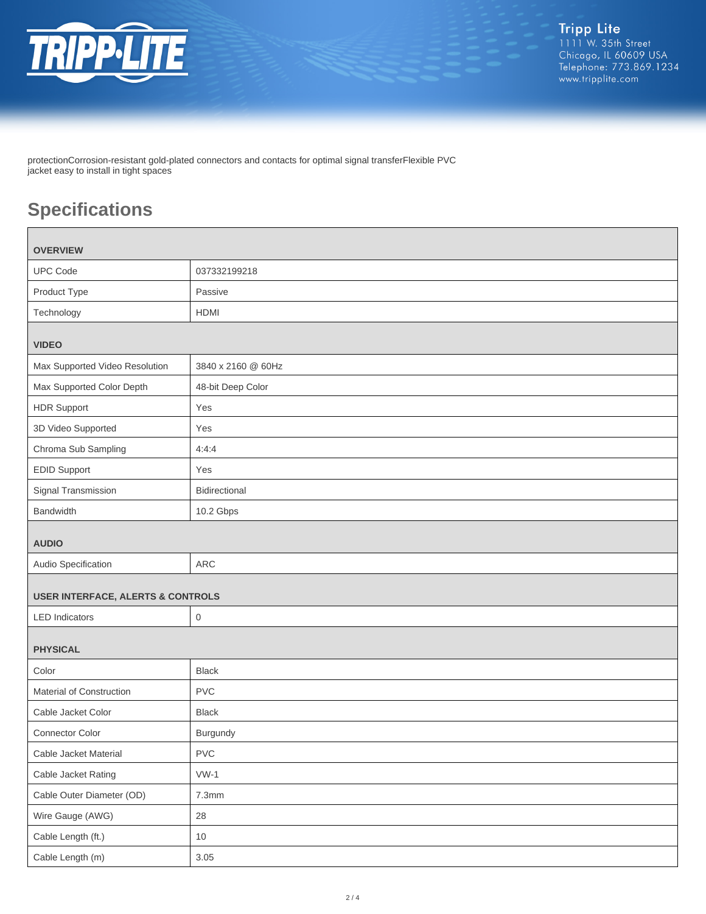

protectionCorrosion-resistant gold-plated connectors and contacts for optimal signal transferFlexible PVC jacket easy to install in tight spaces

# **Specifications**

| <b>OVERVIEW</b>                              |                    |  |
|----------------------------------------------|--------------------|--|
| <b>UPC Code</b>                              | 037332199218       |  |
| Product Type                                 | Passive            |  |
| Technology                                   | <b>HDMI</b>        |  |
|                                              |                    |  |
| <b>VIDEO</b>                                 |                    |  |
| Max Supported Video Resolution               | 3840 x 2160 @ 60Hz |  |
| Max Supported Color Depth                    | 48-bit Deep Color  |  |
| <b>HDR Support</b>                           | Yes                |  |
| 3D Video Supported                           | Yes                |  |
| Chroma Sub Sampling                          | 4:4:4              |  |
| <b>EDID Support</b>                          | Yes                |  |
| Signal Transmission                          | Bidirectional      |  |
| Bandwidth                                    | 10.2 Gbps          |  |
| <b>AUDIO</b>                                 |                    |  |
| Audio Specification                          | <b>ARC</b>         |  |
| <b>USER INTERFACE, ALERTS &amp; CONTROLS</b> |                    |  |
| <b>LED</b> Indicators                        | $\mathbf 0$        |  |
| <b>PHYSICAL</b>                              |                    |  |
| Color                                        | <b>Black</b>       |  |
| Material of Construction                     | <b>PVC</b>         |  |
| Cable Jacket Color                           | <b>Black</b>       |  |
| Connector Color                              | Burgundy           |  |
| Cable Jacket Material                        | ${\sf PVC}$        |  |
| Cable Jacket Rating                          | $VW-1$             |  |
| Cable Outer Diameter (OD)                    | 7.3mm              |  |
| Wire Gauge (AWG)                             | 28                 |  |
| Cable Length (ft.)                           | 10                 |  |
| Cable Length (m)                             | $3.05\,$           |  |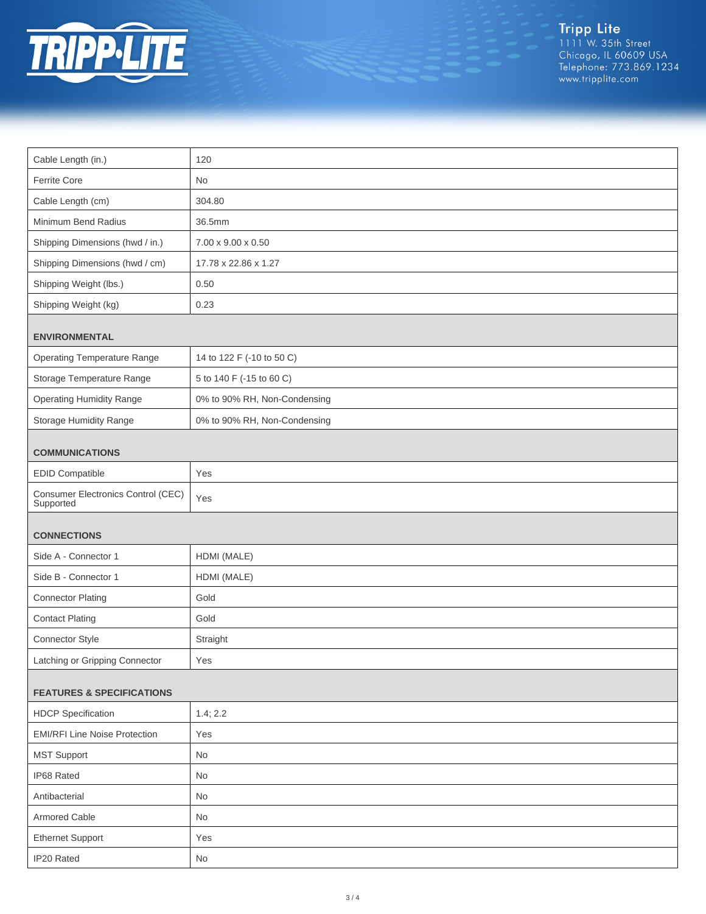

Tripp Lite<br>1111 W. 35th Street<br>Chicago, IL 60609 USA<br>Telephone: 773.869.1234<br>www.tripplite.com

| Cable Length (in.)<br>120                                       |  |  |
|-----------------------------------------------------------------|--|--|
| Ferrite Core<br>No                                              |  |  |
| Cable Length (cm)<br>304.80                                     |  |  |
| Minimum Bend Radius<br>36.5mm                                   |  |  |
| Shipping Dimensions (hwd / in.)<br>7.00 x 9.00 x 0.50           |  |  |
| Shipping Dimensions (hwd / cm)<br>17.78 x 22.86 x 1.27          |  |  |
| Shipping Weight (lbs.)                                          |  |  |
| 0.50                                                            |  |  |
| Shipping Weight (kg)<br>0.23                                    |  |  |
| <b>ENVIRONMENTAL</b>                                            |  |  |
| <b>Operating Temperature Range</b><br>14 to 122 F (-10 to 50 C) |  |  |
| Storage Temperature Range<br>5 to 140 F (-15 to 60 C)           |  |  |
| <b>Operating Humidity Range</b><br>0% to 90% RH, Non-Condensing |  |  |
| Storage Humidity Range<br>0% to 90% RH, Non-Condensing          |  |  |
|                                                                 |  |  |
| <b>COMMUNICATIONS</b>                                           |  |  |
| <b>EDID Compatible</b><br>Yes                                   |  |  |
| Consumer Electronics Control (CEC)<br>Yes<br>Supported          |  |  |
|                                                                 |  |  |
| <b>CONNECTIONS</b><br>Side A - Connector 1<br>HDMI (MALE)       |  |  |
| Side B - Connector 1                                            |  |  |
| HDMI (MALE)                                                     |  |  |
| <b>Connector Plating</b><br>Gold                                |  |  |
| <b>Contact Plating</b><br>Gold                                  |  |  |
| Connector Style<br>Straight                                     |  |  |
| Latching or Gripping Connector<br>Yes                           |  |  |
| <b>FEATURES &amp; SPECIFICATIONS</b>                            |  |  |
| <b>HDCP</b> Specification<br>1.4; 2.2                           |  |  |
| <b>EMI/RFI Line Noise Protection</b><br>Yes                     |  |  |
| <b>MST Support</b><br>No                                        |  |  |
| IP68 Rated<br>No                                                |  |  |
| Antibacterial<br>No                                             |  |  |
| Armored Cable<br>No                                             |  |  |
|                                                                 |  |  |
| <b>Ethernet Support</b><br>Yes                                  |  |  |